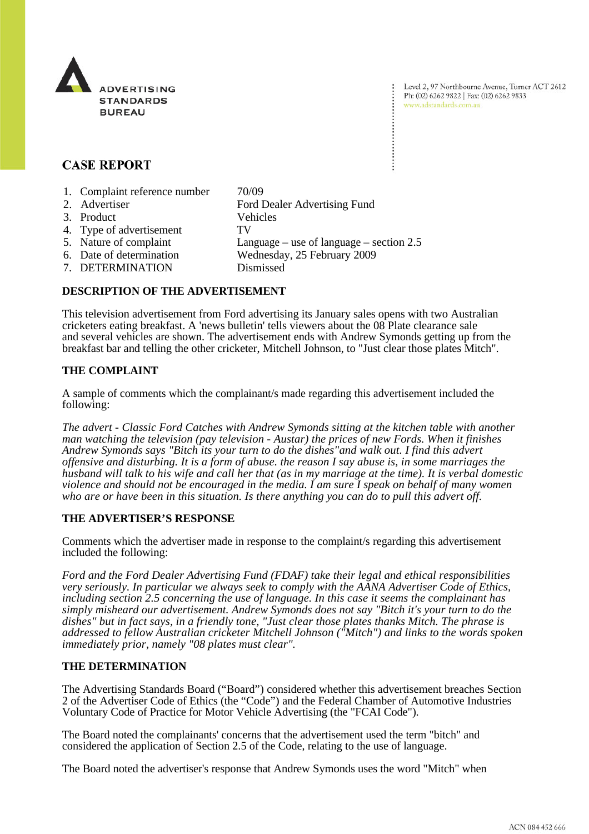

Level 2, 97 Northbourne Avenue, Turner ACT 2612 Ph: (02) 6262 9822 | Fax: (02) 6262 9833 www.adstandards.com.au

# **CASE REPORT**

- 1. Complaint reference number 70/09
- 2. Advertiser Ford Dealer Advertising Fund 3. Product Vehicles 4. Type of advertisement TV 5. Nature of complaint Language – use of language – section 2.5 6. Date of determination Wednesday, 25 February 2009
- 
- 7. DETERMINATION Dismissed

#### **DESCRIPTION OF THE ADVERTISEMENT**

This television advertisement from Ford advertising its January sales opens with two Australian cricketers eating breakfast. A 'news bulletin' tells viewers about the 08 Plate clearance sale and several vehicles are shown. The advertisement ends with Andrew Symonds getting up from the breakfast bar and telling the other cricketer, Mitchell Johnson, to "Just clear those plates Mitch".

## **THE COMPLAINT**

A sample of comments which the complainant/s made regarding this advertisement included the following:

*The advert - Classic Ford Catches with Andrew Symonds sitting at the kitchen table with another man watching the television (pay television - Austar) the prices of new Fords. When it finishes Andrew Symonds says "Bitch its your turn to do the dishes"and walk out. I find this advert offensive and disturbing. It is a form of abuse. the reason I say abuse is, in some marriages the husband will talk to his wife and call her that (as in my marriage at the time). It is verbal domestic violence and should not be encouraged in the media. I am sure I speak on behalf of many women who are or have been in this situation. Is there anything you can do to pull this advert off.*

#### **THE ADVERTISER'S RESPONSE**

Comments which the advertiser made in response to the complaint/s regarding this advertisement included the following:

*Ford and the Ford Dealer Advertising Fund (FDAF) take their legal and ethical responsibilities very seriously. In particular we always seek to comply with the AANA Advertiser Code of Ethics, including section 2.5 concerning the use of language. In this case it seems the complainant has simply misheard our advertisement. Andrew Symonds does not say "Bitch it's your turn to do the dishes" but in fact says, in a friendly tone, "Just clear those plates thanks Mitch. The phrase is addressed to fellow Australian cricketer Mitchell Johnson ("Mitch") and links to the words spoken immediately prior, namely "08 plates must clear".*

## **THE DETERMINATION**

The Advertising Standards Board ("Board") considered whether this advertisement breaches Section 2 of the Advertiser Code of Ethics (the "Code") and the Federal Chamber of Automotive Industries Voluntary Code of Practice for Motor Vehicle Advertising (the "FCAI Code").

The Board noted the complainants' concerns that the advertisement used the term "bitch" and considered the application of Section 2.5 of the Code, relating to the use of language.

The Board noted the advertiser's response that Andrew Symonds uses the word "Mitch" when